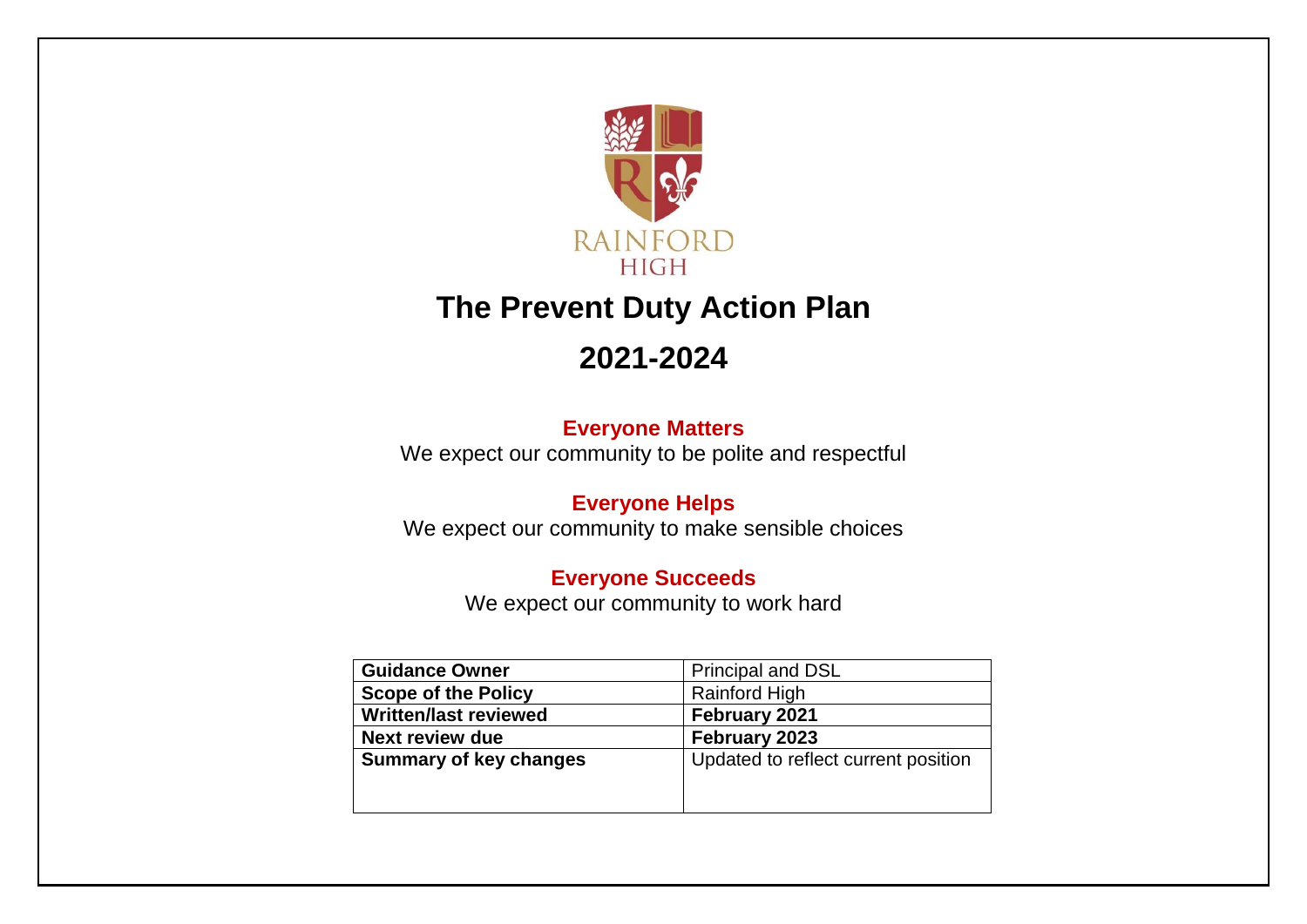

# **The Prevent Duty Action Plan**

# **2021-2024**

### **Everyone Matters**

We expect our community to be polite and respectful

### **Everyone Helps**

We expect our community to make sensible choices

### **Everyone Succeeds**

We expect our community to work hard

| <b>Guidance Owner</b>         | <b>Principal and DSL</b>            |  |  |
|-------------------------------|-------------------------------------|--|--|
| <b>Scope of the Policy</b>    | <b>Rainford High</b>                |  |  |
| <b>Written/last reviewed</b>  | February 2021                       |  |  |
| <b>Next review due</b>        | February 2023                       |  |  |
| <b>Summary of key changes</b> | Updated to reflect current position |  |  |
|                               |                                     |  |  |
|                               |                                     |  |  |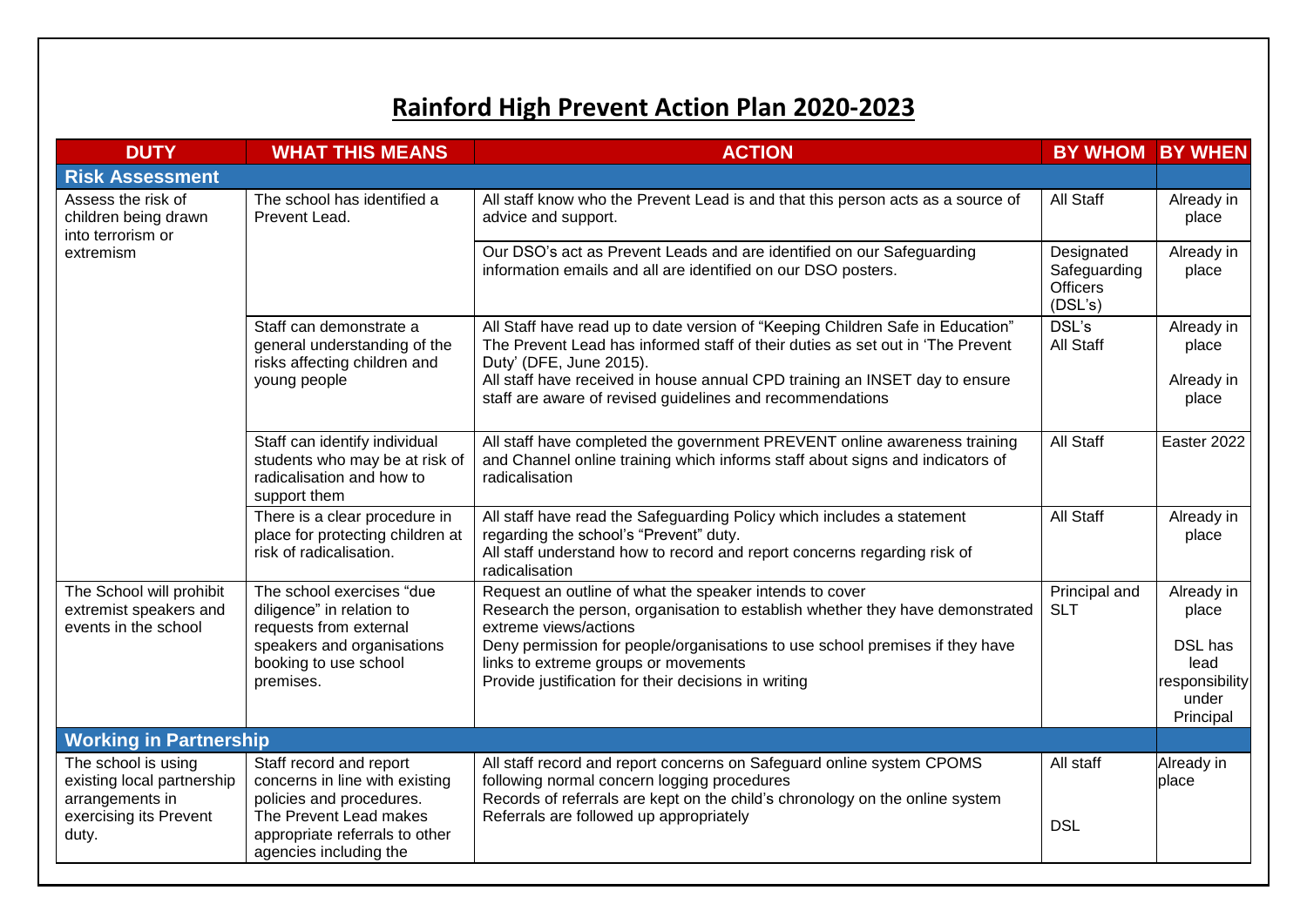## **Rainford High Prevent Action Plan 2020-2023**

| <b>DUTY</b>                                                                                    | <b>WHAT THIS MEANS</b>                                                                                          | <b>ACTION</b><br><b>BY WHOM</b>                                                                                                                                                                                                                                            |                                                          |                                   |  |
|------------------------------------------------------------------------------------------------|-----------------------------------------------------------------------------------------------------------------|----------------------------------------------------------------------------------------------------------------------------------------------------------------------------------------------------------------------------------------------------------------------------|----------------------------------------------------------|-----------------------------------|--|
| <b>Risk Assessment</b>                                                                         |                                                                                                                 |                                                                                                                                                                                                                                                                            |                                                          |                                   |  |
| Assess the risk of<br>children being drawn<br>into terrorism or<br>extremism                   | The school has identified a<br>Prevent Lead.                                                                    | All staff know who the Prevent Lead is and that this person acts as a source of<br>advice and support.                                                                                                                                                                     | All Staff                                                | Already in<br>place               |  |
|                                                                                                |                                                                                                                 | Our DSO's act as Prevent Leads and are identified on our Safeguarding<br>information emails and all are identified on our DSO posters.                                                                                                                                     | Designated<br>Safeguarding<br><b>Officers</b><br>(DSL's) | Already in<br>place               |  |
|                                                                                                | Staff can demonstrate a<br>general understanding of the<br>risks affecting children and                         | All Staff have read up to date version of "Keeping Children Safe in Education"<br>The Prevent Lead has informed staff of their duties as set out in 'The Prevent<br>Duty' (DFE, June 2015).<br>All staff have received in house annual CPD training an INSET day to ensure | DSL's<br>All Staff                                       | Already in<br>place<br>Already in |  |
|                                                                                                | young people                                                                                                    | staff are aware of revised guidelines and recommendations                                                                                                                                                                                                                  |                                                          | place                             |  |
|                                                                                                | Staff can identify individual<br>students who may be at risk of<br>radicalisation and how to<br>support them    | All staff have completed the government PREVENT online awareness training<br>and Channel online training which informs staff about signs and indicators of<br>radicalisation                                                                                               | All Staff                                                | Easter 2022                       |  |
|                                                                                                | There is a clear procedure in<br>place for protecting children at<br>risk of radicalisation.                    | All staff have read the Safeguarding Policy which includes a statement<br>regarding the school's "Prevent" duty.<br>All staff understand how to record and report concerns regarding risk of<br>radicalisation                                                             | All Staff                                                | Already in<br>place               |  |
| The School will prohibit<br>extremist speakers and<br>events in the school                     | The school exercises "due<br>diligence" in relation to<br>requests from external                                | Request an outline of what the speaker intends to cover<br>Research the person, organisation to establish whether they have demonstrated<br>extreme views/actions                                                                                                          | Principal and<br><b>SLT</b>                              | Already in<br>place               |  |
|                                                                                                | speakers and organisations<br>booking to use school<br>premises.                                                | Deny permission for people/organisations to use school premises if they have<br>links to extreme groups or movements<br>Provide justification for their decisions in writing                                                                                               |                                                          | DSL has<br>lead<br>responsibility |  |
|                                                                                                |                                                                                                                 |                                                                                                                                                                                                                                                                            |                                                          | under<br>Principal                |  |
| <b>Working in Partnership</b>                                                                  |                                                                                                                 |                                                                                                                                                                                                                                                                            |                                                          |                                   |  |
| The school is using<br>existing local partnership<br>arrangements in<br>exercising its Prevent | Staff record and report<br>concerns in line with existing<br>policies and procedures.<br>The Prevent Lead makes | All staff record and report concerns on Safeguard online system CPOMS<br>following normal concern logging procedures<br>Records of referrals are kept on the child's chronology on the online system<br>Referrals are followed up appropriately                            | All staff                                                | Already in<br>place               |  |
| duty.                                                                                          | appropriate referrals to other<br>agencies including the                                                        |                                                                                                                                                                                                                                                                            | <b>DSL</b>                                               |                                   |  |